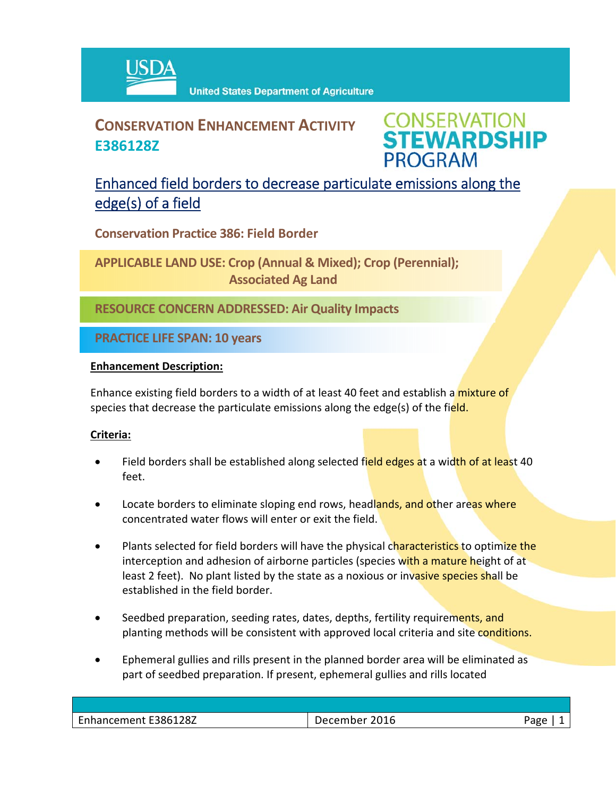

## **CONSERVATION ENHANCEMENT ACTIVITY E386128Z**

**CONSERVATION<br>STEWARDSHIP PROGRAM** 

### Enhanced field borders to decrease particulate emissions along the edge(s) of a field

**Conservation Practice 386: Field Border**

**APPLICABLE LAND USE: Crop (Annual & Mixed); Crop (Perennial); Associated Ag Land**

**RESOURCE CONCERN ADDRESSED: Air Quality Impacts**

**PRACTICE LIFE SPAN: 10 years**

#### **Enhancement Description:**

Enhance existing field borders to a width of at least 40 feet and establish a mixture of species that decrease the particulate emissions along the edge(s) of the field.

#### **Criteria:**

- Field borders shall be established along selected field edges at a width of at least 40 feet.
- Locate borders to eliminate sloping end rows, headlands, and other areas where concentrated water flows will enter or exit the field.
- Plants selected for field borders will have the physical characteristics to optimize the interception and adhesion of airborne particles (species with a mature height of at least 2 feet). No plant listed by the state as a noxious or invasive species shall be established in the field border.
- Seedbed preparation, seeding rates, dates, depths, fertility requirements, and planting methods will be consistent with approved local criteria and site conditions.
- Ephemeral gullies and rills present in the planned border area will be eliminated as part of seedbed preparation. If present, ephemeral gullies and rills located

| Enhancement E386128Z<br>Enhana. | 2016<br>. .<br>---- |  |
|---------------------------------|---------------------|--|
|                                 |                     |  |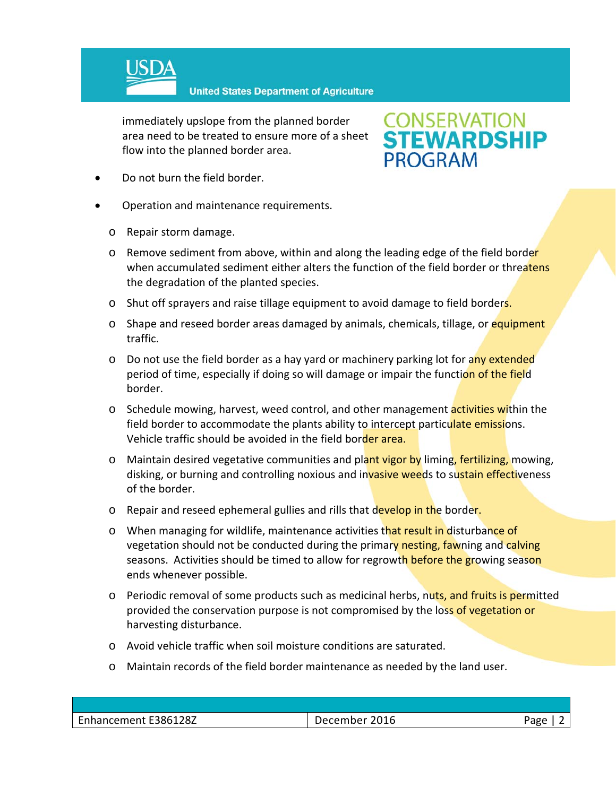

immediately upslope from the planned border area need to be treated to ensure more of a sheet flow into the planned border area.

# **CONSERVATION<br>STEWARDSHIP PROGRAM**

- Do not burn the field border.
- Operation and maintenance requirements.
	- o Repair storm damage.
	- o Remove sediment from above, within and along the leading edge of the field border when accumulated sediment either alters the function of the field border or threatens the degradation of the planted species.
	- o Shut off sprayers and raise tillage equipment to avoid damage to field borders.
	- o Shape and reseed border areas damaged by animals, chemicals, tillage, or equipment traffic.
	- o Do not use the field border as a hay yard or machinery parking lot for any extended period of time, especially if doing so will damage or impair the function of the field border.
	- o Schedule mowing, harvest, weed control, and other management **activities wi**thin the field border to accommodate the plants ability to intercept particulate emissions. Vehicle traffic should be avoided in the field border area.
	- o Maintain desired vegetative communities and plant vigor by liming, fertilizing, mowing, disking, or burning and controlling noxious and invasive weeds to sustain effectiveness of the border.
	- o Repair and reseed ephemeral gullies and rills that develop in the border.
	- o When managing for wildlife, maintenance activities that result in disturbance of vegetation should not be conducted during the primary nesting, fawning and calving seasons. Activities should be timed to allow for regrowth before the growing season ends whenever possible.
	- o Periodic removal of some products such as medicinal herbs, nuts, and fruits is permitted provided the conservation purpose is not compromised by the loss of vegetation or harvesting disturbance.
	- o Avoid vehicle traffic when soil moisture conditions are saturated.
	- o Maintain records of the field border maintenance as needed by the land user.

| Enhancement E386128Z | 2016<br>December | Page<br>ub. |
|----------------------|------------------|-------------|